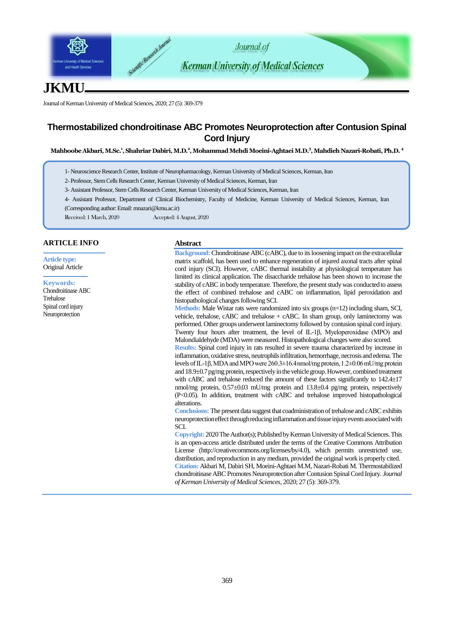

# **JKMU**

Journal of Kerman University of Medical Sciences, 2020; 27 (5): 369-379

# **Thermostabilized chondroitinase ABC Promotes Neuroprotection after Contusion Spinal Cord Injury**

**Mahboobe Akbari, M.Sc.<sup>1</sup> , Shahriar Dabiri, M.D.<sup>2</sup> , Mohammad Mehdi Moeini-Aghtaei M.D.<sup>3</sup> , Mahdieh Nazari-Robati, Ph.D. <sup>4</sup>**

- 1- Neuroscience Research Center, Institute of Neuropharmacology, Kerman University of Medical Sciences, Kerman, Iran
- 2- Professor, Stem Cells Research Center, Kerman University of Medical Sciences, Kerman, Iran
- 3- Assistant Professor, Stem Cells Research Center, Kerman University of Medical Sciences, Kerman, Iran
- 4- Assistant Professor, Department of Clinical Biochemistry, Faculty of Medicine, Kerman University of Medical Sciences, Kerman, Iran (Corresponding author: Emai[l: mnazari@kmu.ac.ir](mailto:mnazari@kmu.ac.ir))
- Received: 1 March, 2020 Accepted: 4 August, 2020

#### **ARTICLE INFO**

**Article type:** Original Article

**Keywords:** Chondroitinase ABC Trehalose Spinal cord injury Neuroprotection

#### **Abstract**

**Background:** Chondroitinase ABC (cABC), due to its loosening impact on the extracellular matrix scaffold, has been used to enhance regeneration of injured axonal tracts after spinal cord injury (SCI). However, cABC thermal instability at physiological temperature has limited its clinical application. The disaccharide trehalose has been shown to increase the stability of cABC in body temperature. Therefore, the present study was conducted to assess the effect of combined trehalose and cABC on inflammation, lipid peroxidation and histopathological changes following SCI.

**Methods:** Male Wistar rats were randomized into six groups (n=12) including sham, SCI, vehicle, trehalose,  $c$ ABC and trehalose  $+$   $c$ ABC. In sham group, only laminectomy was performed. Other groups underwent laminectomy followed by contusion spinal cord injury. Twenty four hours after treatment, the level of IL-1β, Myeloperoxidase (MPO) and Malondialdehyde (MDA) were measured. Histopathological changes were also scored.

**Results:** Spinal cord injury in rats resulted in severe trauma characterized by increase in inflammation, oxidative stress, neutrophils infiltration, hemorrhage, necrosis and edema. The levels of IL-1β, MDA and MPO were 260.3±16.4 nmol/mg protein, 1.2±0.06 mU/mg protein and 18.9±0.7 pg/mg protein, respectively in the vehicle group. However, combined treatment with cABC and trehalose reduced the amount of these factors significantly to  $142.4 \pm 17$ nmol/mg protein,  $0.57\pm0.03$  mU/mg protein and  $13.8\pm0.4$  pg/mg protein, respectively (P<0.05). In addition, treatment with cABC and trehalose improved histopathological alterations.

**Conclusions:** The present data suggest that coadministration of trehalose and cABC exhibits neuroprotection effect through reducing inflammation and tissue injury events associated with SCI.

**Copyright:** 2020The Author(s); Published by Kerman University of Medical Sciences. This is an open-access article distributed under the terms of the Creative Commons Attribution License (http://creativecommons.org/licenses/by/4.0), which permits unrestricted use, distribution, and reproduction in any medium, provided the original work is properly cited. **Citation:** Akbari M, Dabiri SH, Moeini-Aghtaei M.M, Nazari-Robati M. Thermostabilized chondroitinase ABC Promotes Neuroprotection after Contusion Spinal Cord Injury. *Journal of Kerman University of Medical Sciences*, 2020; 27 (5): 369-379.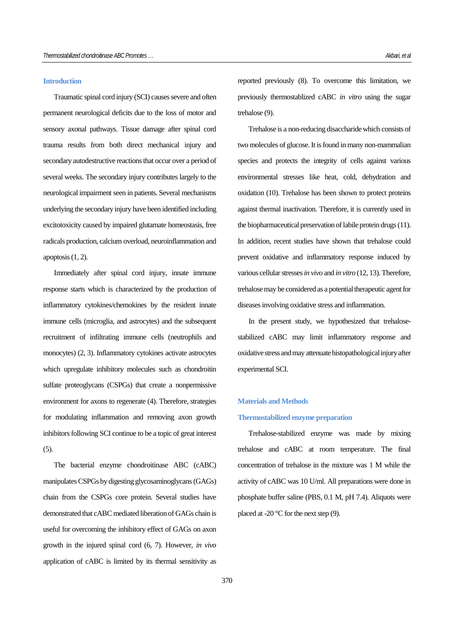#### **Introduction**

Traumatic spinal cord injury (SCI) causes severe and often permanent neurological deficits due to the loss of motor and sensory axonal pathways. Tissue damage after spinal cord trauma results from both direct mechanical injury and secondary autodestructive reactions that occur over a period of several weeks. The secondary injury contributes largely to the neurological impairment seen in patients. Several mechanisms underlying the secondary injury have been identified including excitotoxicity caused by impaired glutamate homeostasis, free radicals production, calcium overload, neuroinflammation and apoptosis (1, 2).

Immediately after spinal cord injury, innate immune response starts which is characterized by the production of inflammatory cytokines/chemokines by the resident innate immune cells (microglia, and astrocytes) and the subsequent recruitment of infiltrating immune cells (neutrophils and monocytes) (2, 3). Inflammatory cytokines activate astrocytes which upregulate inhibitory molecules such as chondroitin sulfate proteoglycans (CSPGs) that create a nonpermissive environment for axons to regenerate (4). Therefore, strategies for modulating inflammation and removing axon growth inhibitors following SCI continue to be a topic of great interest (5).

The bacterial enzyme chondroitinase ABC (cABC) manipulates CSPGs by digesting glycosaminoglycans (GAGs) chain from the CSPGs core protein. Several studies have demonstrated that cABC mediated liberation of GAGs chain is useful for overcoming the inhibitory effect of GAGs on axon growth in the injured spinal cord (6, 7). However, *in vivo* application of cABC is limited by its thermal sensitivity as reported previously (8). To overcome this limitation, we previously thermostablized cABC *in vitro* using the sugar trehalose (9).

Trehalose is a non-reducing disaccharide which consists of two molecules of glucose. It is found in many non-mammalian species and protects the integrity of cells against various environmental stresses like heat, cold, dehydration and oxidation (10). Trehalose has been shown to protect proteins against thermal inactivation. Therefore, it is currently used in the biopharmaceutical preservation of labile protein drugs (11). In addition, recent studies have shown that trehalose could prevent oxidative and inflammatory response induced by various cellular stresses *in vivo* and *in vitro* (12, 13). Therefore, trehalose may be considered as a potential therapeutic agent for diseases involving oxidative stress and inflammation.

In the present study, we hypothesized that trehalosestabilized cABC may limit inflammatory response and oxidative stress and may attenuate histopathological injury after experimental SCI.

# **Materials and Methods**

#### **Thermostabilized enzyme preparation**

Trehalose-stabilized enzyme was made by mixing trehalose and cABC at room temperature. The final concentration of trehalose in the mixture was 1 M while the activity of cABC was 10 U/ml. All preparations were done in phosphate buffer saline (PBS, 0.1 M, pH 7.4). Aliquots were placed at -20  $^{\circ}$ C for the next step (9).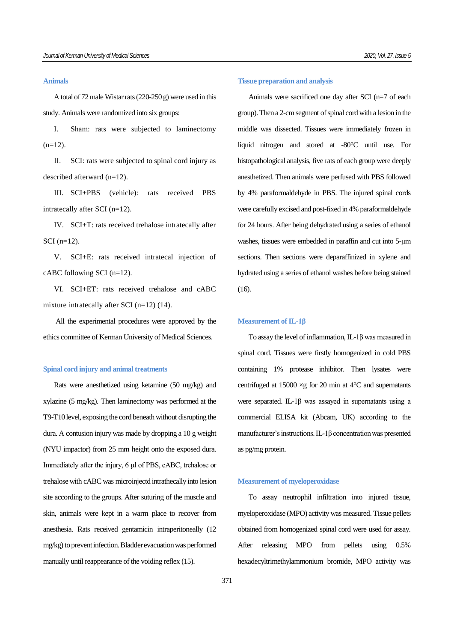A total of 72 male Wistar rats (220-250 g) were used in this study. Animals were randomized into six groups:

I. Sham: rats were subjected to laminectomy  $(n=12)$ .

II. SCI: rats were subjected to spinal cord injury as described afterward (n=12).

III. SCI+PBS (vehicle): rats received PBS intratecally after SCI (n=12).

IV. SCI+T: rats received trehalose intratecally after SCI (n=12).

V. SCI+E: rats received intratecal injection of cABC following SCI (n=12).

VI. SCI+ET: rats received trehalose and cABC mixture intratecally after SCI (n=12) (14).

All the experimental procedures were approved by the ethics committee of Kerman University of Medical Sciences.

#### **Spinal cord injury and animal treatments**

Rats were anesthetized using ketamine (50 mg/kg) and xylazine (5 mg/kg). Then laminectomy was performed at the T9-T10 level, exposing the cord beneath without disrupting the dura. A contusion injury was made by dropping a 10 g weight (NYU impactor) from 25 mm height onto the exposed dura. Immediately after the injury, 6 μl of PBS, cABC, trehalose or trehalose with cABC was microinjectd intrathecally into lesion site according to the groups. After suturing of the muscle and skin, animals were kept in a warm place to recover from anesthesia. Rats received gentamicin intraperitoneally (12 mg/kg) to prevent infection. Bladder evacuation was performed manually until reappearance of the voiding reflex (15).

#### **Tissue preparation and analysis**

Animals were sacrificed one day after SCI (n=7 of each group). Then a 2-cm segment of spinal cord with a lesion in the middle was dissected. Tissues were immediately frozen in liquid nitrogen and stored at -80°C until use. For histopathological analysis, five rats of each group were deeply anesthetized. Then animals were perfused with PBS followed by 4% paraformaldehyde in PBS. The injured spinal cords were carefully excised and post-fixed in 4% paraformaldehyde for 24 hours. After being dehydrated using a series of ethanol washes, tissues were embedded in paraffin and cut into 5-μm sections. Then sections were deparaffinized in xylene and hydrated using a series of ethanol washes before being stained (16).

# **Measurement of IL-1β**

To assay the level of inflammation, IL-1β was measured in spinal cord. Tissues were firstly homogenized in cold PBS containing 1% protease inhibitor. Then lysates were centrifuged at  $15000 \times g$  for 20 min at 4°C and supernatants were separated. IL-1β was assayed in supernatants using a commercial ELISA kit (Abcam, UK) according to the manufacturer's instructions. IL-1β concentration was presented as pg/mg protein.

# **Measurement of myeloperoxidase**

To assay neutrophil infiltration into injured tissue, myeloperoxidase (MPO) activity was measured. Tissue pellets obtained from homogenized spinal cord were used for assay. After releasing MPO from pellets using 0.5% hexadecyltrimethylammonium bromide, MPO activity was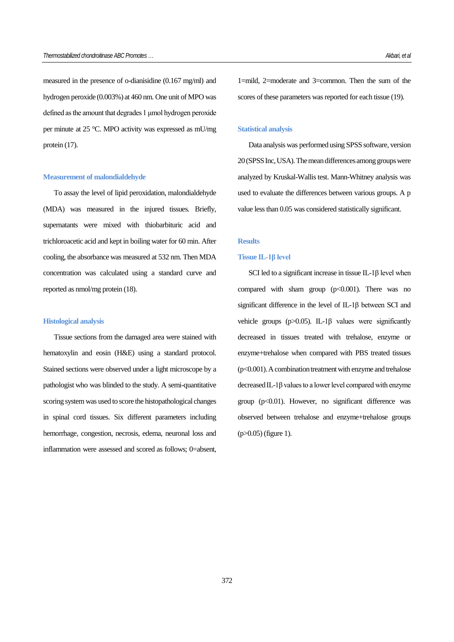measured in the presence of o-dianisidine (0.167 mg/ml) and hydrogen peroxide (0.003%) at 460 nm. One unit of MPO was defined as the amount that degrades 1 μmol hydrogen peroxide per minute at 25 °C. MPO activity was expressed as mU/mg protein (17).

#### **Measurement of malondialdehyde**

To assay the level of lipid peroxidation, malondialdehyde (MDA) was measured in the injured tissues. Briefly, supernatants were mixed with thiobarbituric acid and trichloroacetic acid and kept in boiling water for 60 min. After cooling, the absorbance was measured at 532 nm. Then MDA concentration was calculated using a standard curve and reported as nmol/mg protein (18).

### **Histological analysis**

Tissue sections from the damaged area were stained with hematoxylin and eosin (H&E) using a standard protocol. Stained sections were observed under a light microscope by a pathologist who was blinded to the study. A semi-quantitative scoring system was used to score the histopathological changes in spinal cord tissues. Six different parameters including hemorrhage, congestion, necrosis, edema, neuronal loss and inflammation were assessed and scored as follows; 0=absent,

1=mild, 2=moderate and 3=common. Then the sum of the scores of these parameters was reported for each tissue (19).

#### **Statistical analysis**

Data analysis was performed using SPSS software, version 20 (SPSS Inc, USA). The mean differences among groups were analyzed by Kruskal-Wallis test. Mann-Whitney analysis was used to evaluate the differences between various groups. A p value less than 0.05 was considered statistically significant.

#### **Results**

### **Tissue IL-1β level**

SCI led to a significant increase in tissue IL-1β level when compared with sham group  $(p<0.001)$ . There was no significant difference in the level of IL-1β between SCI and vehicle groups ( $p > 0.05$ ). IL-1 $\beta$  values were significantly decreased in tissues treated with trehalose, enzyme or enzyme+trehalose when compared with PBS treated tissues (p<0.001). A combination treatment with enzyme and trehalose decreased IL-1β values to a lower level compared with enzyme group  $(p<0.01)$ . However, no significant difference was observed between trehalose and enzyme+trehalose groups (p>0.05) (figure 1).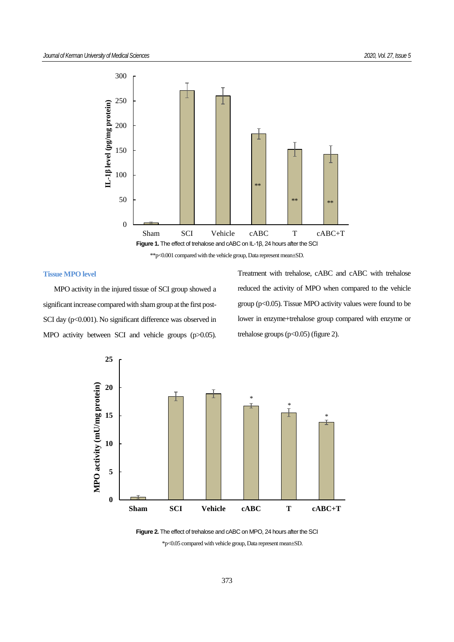

\*\*p<0.001 compared with the vehicle group, Data represent mean±SD.

# **Tissue MPO level**

MPO activity in the injured tissue of SCI group showed a significant increase compared with sham group at the first post-SCI day (p<0.001). No significant difference was observed in MPO activity between SCI and vehicle groups (p>0.05).

Treatment with trehalose, cABC and cABC with trehalose reduced the activity of MPO when compared to the vehicle group (p<0.05). Tissue MPO activity values were found to be lower in enzyme+trehalose group compared with enzyme or trehalose groups (p<0.05) (figure 2).



**Figure 2.** The effect of trehalose and cABC on MPO, 24 hours after the SCI \*p<0.05 compared with vehicle group, Data represent mean±SD.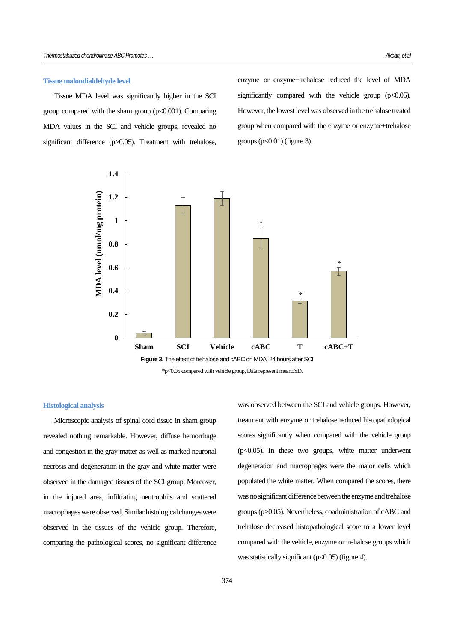#### **Tissue malondialdehyde level**

Tissue MDA level was significantly higher in the SCI group compared with the sham group  $(p<0.001)$ . Comparing MDA values in the SCI and vehicle groups, revealed no significant difference (p>0.05). Treatment with trehalose, enzyme or enzyme+trehalose reduced the level of MDA significantly compared with the vehicle group  $(p<0.05)$ . However, the lowest level was observed in the trehalose treated group when compared with the enzyme or enzyme+trehalose groups  $(p<0.01)$  (figure 3).



\*p<0.05 compared with vehicle group, Data represent mean±SD.

## **Histological analysis**

Microscopic analysis of spinal cord tissue in sham group revealed nothing remarkable. However, diffuse hemorrhage and congestion in the gray matter as well as marked neuronal necrosis and degeneration in the gray and white matter were observed in the damaged tissues of the SCI group. Moreover, in the injured area, infiltrating neutrophils and scattered macrophages were observed. Similar histological changes were observed in the tissues of the vehicle group. Therefore, comparing the pathological scores, no significant difference was observed between the SCI and vehicle groups. However, treatment with enzyme or trehalose reduced histopathological scores significantly when compared with the vehicle group (p<0.05). In these two groups, white matter underwent degeneration and macrophages were the major cells which populated the white matter. When compared the scores, there was no significant difference between the enzyme and trehalose groups (p>0.05). Nevertheless, coadministration of cABC and trehalose decreased histopathological score to a lower level compared with the vehicle, enzyme or trehalose groups which was statistically significant  $(p<0.05)$  (figure 4).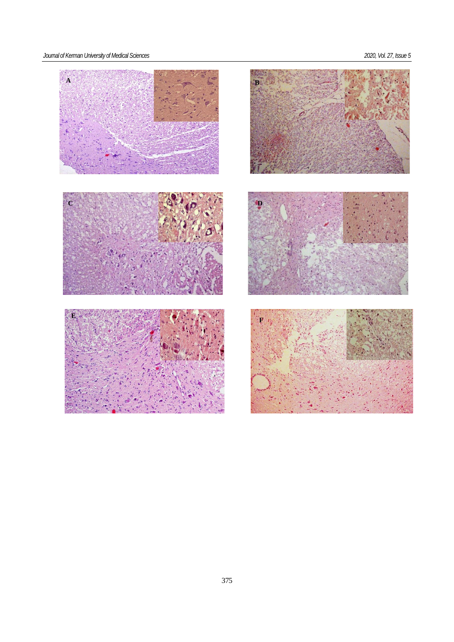*Journal of Kerman University of Medical Sciences 2020, Vol. 27, Issue 5*

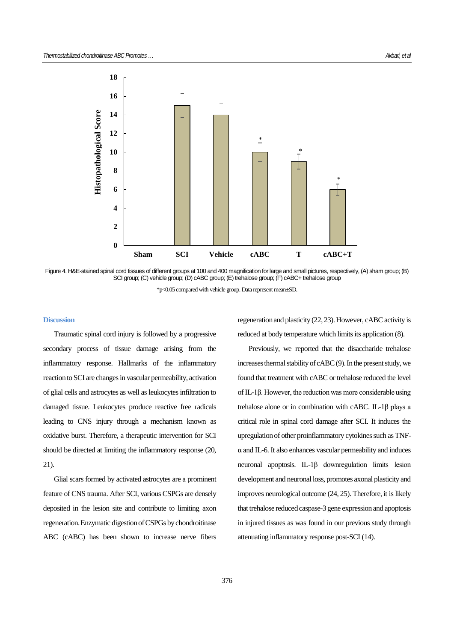



\*p<0.05 compared with vehicle group. Data represent mean±SD.

#### **Discussion**

Traumatic spinal cord injury is followed by a progressive secondary process of tissue damage arising from the inflammatory response. Hallmarks of the inflammatory reaction to SCI are changes in vascular permeability, activation of glial cells and astrocytes as well as leukocytes infiltration to damaged tissue. Leukocytes produce reactive free radicals leading to CNS injury through a mechanism known as oxidative burst. Therefore, a therapeutic intervention for SCI should be directed at limiting the inflammatory response (20, 21).

Glial scars formed by activated astrocytes are a prominent feature of CNS trauma. After SCI, various CSPGs are densely deposited in the lesion site and contribute to limiting axon regeneration. Enzymatic digestion of CSPGs by chondroitinase ABC (cABC) has been shown to increase nerve fibers regeneration and plasticity (22, 23). However, cABC activity is reduced at body temperature which limits its application (8).

Previously, we reported that the disaccharide trehalose increases thermal stability of cABC (9). In the present study, we found that treatment with cABC or trehalose reduced the level of IL-1β. However, the reduction was more considerable using trehalose alone or in combination with cABC. IL-1β plays a critical role in spinal cord damage after SCI. It induces the upregulation of other proinflammatory cytokines such as TNFα and IL-6. It also enhances vascular permeability and induces neuronal apoptosis. IL-1β downregulation limits lesion development and neuronal loss, promotes axonal plasticity and improves neurological outcome (24, 25). Therefore, it is likely that trehalose reduced caspase-3 gene expression and apoptosis in injured tissues as was found in our previous study through attenuating inflammatory response post-SCI (14).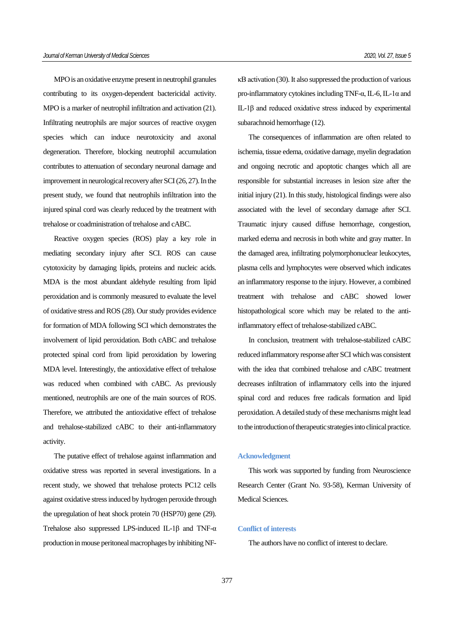MPO is an oxidative enzyme present in neutrophil granules contributing to its oxygen-dependent bactericidal activity. MPO is a marker of neutrophil infiltration and activation (21). Infiltrating neutrophils are major sources of reactive oxygen species which can induce neurotoxicity and axonal degeneration. Therefore, blocking neutrophil accumulation contributes to attenuation of secondary neuronal damage and improvement in neurological recovery after SCI (26, 27). In the present study, we found that neutrophils infiltration into the injured spinal cord was clearly reduced by the treatment with trehalose or coadministration of trehalose and cABC.

Reactive oxygen species (ROS) play a key role in mediating secondary injury after SCI. ROS can cause cytotoxicity by damaging lipids, proteins and nucleic acids. MDA is the most abundant aldehyde resulting from lipid peroxidation and is commonly measured to evaluate the level of oxidative stress and ROS (28). Our study provides evidence for formation of MDA following SCI which demonstrates the involvement of lipid peroxidation. Both cABC and trehalose protected spinal cord from lipid peroxidation by lowering MDA level. Interestingly, the antioxidative effect of trehalose was reduced when combined with cABC. As previously mentioned, neutrophils are one of the main sources of ROS. Therefore, we attributed the antioxidative effect of trehalose and trehalose-stabilized cABC to their anti-inflammatory activity.

The putative effect of trehalose against inflammation and oxidative stress was reported in several investigations. In a recent study, we showed that trehalose protects PC12 cells against oxidative stress induced by hydrogen peroxide through the upregulation of heat shock protein 70 (HSP70) gene (29). Trehalose also suppressed LPS-induced IL-1β and TNF-α production in mouse peritoneal macrophages by inhibiting NF-

κB activation (30). It also suppressed the production of various pro-inflammatory cytokines including TNF- $\alpha$ , IL-6, IL-1 $\alpha$  and IL-1β and reduced oxidative stress induced by experimental subarachnoid hemorrhage (12).

The consequences of inflammation are often related to ischemia, tissue edema, oxidative damage, myelin degradation and ongoing necrotic and apoptotic changes which all are responsible for substantial increases in lesion size after the initial injury (21). In this study, histological findings were also associated with the level of secondary damage after SCI. Traumatic injury caused diffuse hemorrhage, congestion, marked edema and necrosis in both white and gray matter. In the damaged area, infiltrating polymorphonuclear leukocytes, plasma cells and lymphocytes were observed which indicates an inflammatory response to the injury. However, a combined treatment with trehalose and cABC showed lower histopathological score which may be related to the antiinflammatory effect of trehalose-stabilized cABC.

In conclusion, treatment with trehalose-stabilized cABC reduced inflammatory response after SCI which was consistent with the idea that combined trehalose and cABC treatment decreases infiltration of inflammatory cells into the injured spinal cord and reduces free radicals formation and lipid peroxidation. A detailed study of these mechanisms might lead to the introduction of therapeutic strategies into clinical practice.

### **Acknowledgment**

This work was supported by funding from Neuroscience Research Center (Grant No. 93-58), Kerman University of Medical Sciences.

# **Conflict of interests**

The authors have no conflict of interest to declare.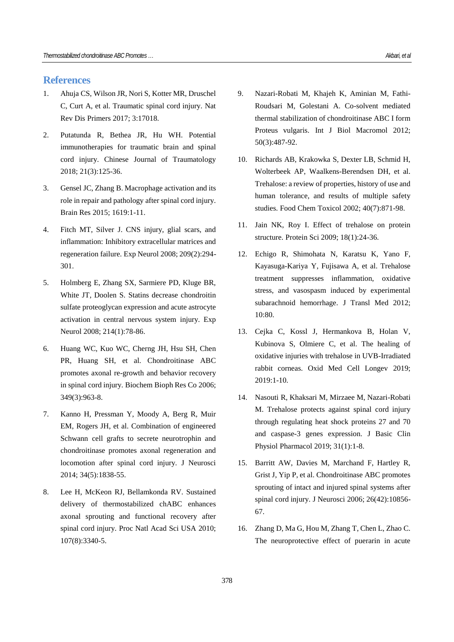# **References**

- 1. Ahuja CS, Wilson JR, Nori S, Kotter MR, Druschel C, Curt A, et al. Traumatic spinal cord injury. Nat Rev Dis Primers 2017; 3:17018.
- 2. Putatunda R, Bethea JR, Hu WH. Potential immunotherapies for traumatic brain and spinal cord injury. Chinese Journal of Traumatology 2018; 21(3):125-36.
- 3. Gensel JC, Zhang B. Macrophage activation and its role in repair and pathology after spinal cord injury. Brain Res 2015; 1619:1-11.
- 4. Fitch MT, Silver J. CNS injury, glial scars, and inflammation: Inhibitory extracellular matrices and regeneration failure. Exp Neurol 2008; 209(2):294- 301.
- 5. Holmberg E, Zhang SX, Sarmiere PD, Kluge BR, White JT, Doolen S. Statins decrease chondroitin sulfate proteoglycan expression and acute astrocyte activation in central nervous system injury. Exp Neurol 2008; 214(1):78-86.
- 6. Huang WC, Kuo WC, Cherng JH, Hsu SH, Chen PR, Huang SH, et al. Chondroitinase ABC promotes axonal re-growth and behavior recovery in spinal cord injury. Biochem Bioph Res Co 2006; 349(3):963-8.
- 7. Kanno H, Pressman Y, Moody A, Berg R, Muir EM, Rogers JH, et al. Combination of engineered Schwann cell grafts to secrete neurotrophin and chondroitinase promotes axonal regeneration and locomotion after spinal cord injury. J Neurosci 2014; 34(5):1838-55.
- 8. Lee H, McKeon RJ, Bellamkonda RV. Sustained delivery of thermostabilized chABC enhances axonal sprouting and functional recovery after spinal cord injury. Proc Natl Acad Sci USA 2010; 107(8):3340-5.
- 
- 9. Nazari-Robati M, Khajeh K, Aminian M, Fathi-Roudsari M, Golestani A. Co-solvent mediated thermal stabilization of chondroitinase ABC I form Proteus vulgaris. Int J Biol Macromol 2012; 50(3):487-92.
- 10. Richards AB, Krakowka S, Dexter LB, Schmid H, Wolterbeek AP, Waalkens-Berendsen DH, et al. Trehalose: a review of properties, history of use and human tolerance, and results of multiple safety studies. Food Chem Toxicol 2002; 40(7):871-98.
- 11. Jain NK, Roy I. Effect of trehalose on protein structure. Protein Sci 2009; 18(1):24-36.
- 12. Echigo R, Shimohata N, Karatsu K, Yano F, Kayasuga-Kariya Y, Fujisawa A, et al. Trehalose treatment suppresses inflammation, oxidative stress, and vasospasm induced by experimental subarachnoid hemorrhage. J Transl Med 2012; 10:80.
- 13. Cejka C, Kossl J, Hermankova B, Holan V, Kubinova S, Olmiere C, et al. The healing of oxidative injuries with trehalose in UVB-Irradiated rabbit corneas. Oxid Med Cell Longev 2019; 2019:1-10.
- 14. Nasouti R, Khaksari M, Mirzaee M, Nazari-Robati M. Trehalose protects against spinal cord injury through regulating heat shock proteins 27 and 70 and caspase-3 genes expression. J Basic Clin Physiol Pharmacol 2019; 31(1):1-8.
- 15. Barritt AW, Davies M, Marchand F, Hartley R, Grist J, Yip P, et al. Chondroitinase ABC promotes sprouting of intact and injured spinal systems after spinal cord injury. J Neurosci 2006; 26(42):10856- 67.
- 16. Zhang D, Ma G, Hou M, Zhang T, Chen L, Zhao C. The neuroprotective effect of puerarin in acute